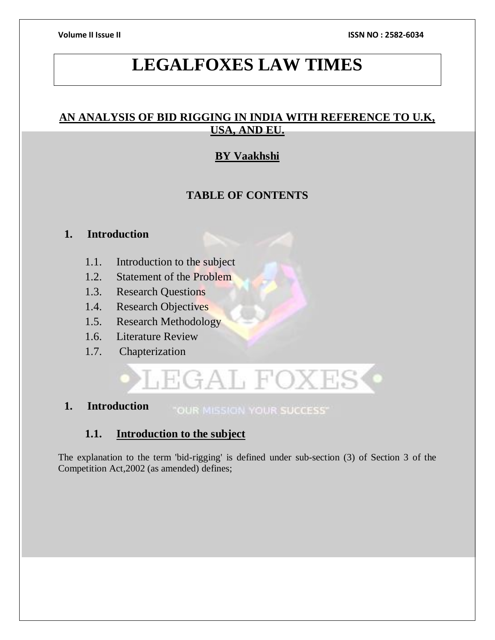# **LEGALFOXES LAW TIMES**

# **AN ANALYSIS OF BID RIGGING IN INDIA WITH REFERENCE TO U.K, USA, AND EU.**

# **BY Vaakhshi**

# **TABLE OF CONTENTS**

## **1. Introduction**

- 1.1. Introduction to the subject
- 1.2. Statement of the Problem
- 1.3. Research Questions
- 1.4. Research Objectives
- 1.5. Research Methodology
- 1.6. Literature Review
- 1.7. Chapterization

# LEGAL FOXES<sup>.</sup>

**1. Introduction** "OUR MISSION YOUR SUCCESS"

# **1.1. Introduction to the subject**

The explanation to the term 'bid-rigging' is defined under sub-section (3) of Section 3 of the Competition Act,2002 (as amended) defines;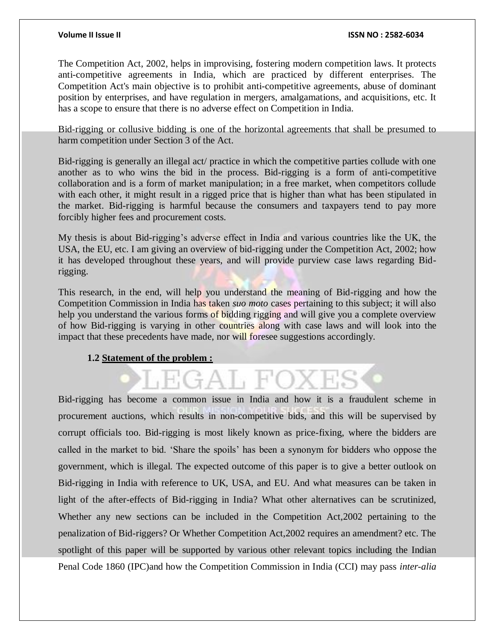The Competition Act, 2002, helps in improvising, fostering modern competition laws. It protects anti-competitive agreements in India, which are practiced by different enterprises. The Competition Act's main objective is to prohibit anti-competitive agreements, abuse of dominant position by enterprises, and have regulation in mergers, amalgamations, and acquisitions, etc. It has a scope to ensure that there is no adverse effect on Competition in India.

Bid-rigging or collusive bidding is one of the horizontal agreements that shall be presumed to harm competition under Section 3 of the Act.

Bid-rigging is generally an illegal act/ practice in which the competitive parties collude with one another as to who wins the bid in the process. Bid-rigging is a form of anti-competitive collaboration and is a form of market manipulation; in a free market, when competitors collude with each other, it might result in a rigged price that is higher than what has been stipulated in the market. Bid-rigging is harmful because the consumers and taxpayers tend to pay more forcibly higher fees and procurement costs.

My thesis is about Bid-rigging's adverse effect in India and various countries like the UK, the USA, the EU, etc. I am giving an overview of bid-rigging under the Competition Act, 2002; how it has developed throughout these years, and will provide purview case laws regarding Bidrigging.

This research, in the end, will help you understand the meaning of Bid-rigging and how the Competition Commission in India has taken *suo moto* cases pertaining to this subject; it will also help you understand the various forms of bidding rigging and will give you a complete overview of how Bid-rigging is varying in other countries along with case laws and will look into the impact that these precedents have made, nor will foresee suggestions accordingly.

### **1.2 Statement of the problem :**

Bid-rigging has become a common issue in India and how it is a fraudulent scheme in procurement auctions, which results in non-competitive bids, and this will be supervised by corrupt officials too. Bid-rigging is most likely known as price-fixing, where the bidders are called in the market to bid. 'Share the spoils' has been a synonym for bidders who oppose the government, which is illegal. The expected outcome of this paper is to give a better outlook on Bid-rigging in India with reference to UK, USA, and EU. And what measures can be taken in light of the after-effects of Bid-rigging in India? What other alternatives can be scrutinized, Whether any new sections can be included in the Competition Act,2002 pertaining to the penalization of Bid-riggers? Or Whether Competition Act,2002 requires an amendment? etc. The spotlight of this paper will be supported by various other relevant topics including the Indian Penal Code 1860 (IPC)and how the Competition Commission in India (CCI) may pass *inter-alia*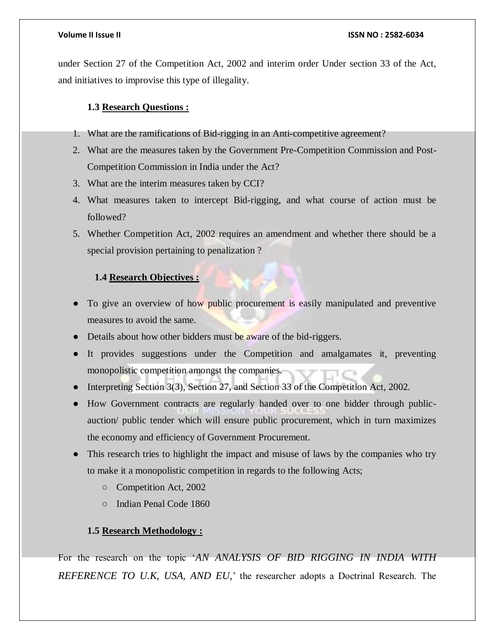under Section 27 of the Competition Act, 2002 and interim order Under section 33 of the Act, and initiatives to improvise this type of illegality.

#### **1.3 Research Questions :**

- 1. What are the ramifications of Bid-rigging in an Anti-competitive agreement?
- 2. What are the measures taken by the Government Pre-Competition Commission and Post-Competition Commission in India under the Act?
- 3. What are the interim measures taken by CCI?
- 4. What measures taken to intercept Bid-rigging, and what course of action must be followed?
- 5. Whether Competition Act, 2002 requires an amendment and whether there should be a special provision pertaining to penalization ?

### **1.4 Research Objectives :**

- To give an overview of how public procurement is easily manipulated and preventive measures to avoid the same.
- Details about how other bidders must be aware of the bid-riggers.
- It provides suggestions under the Competition and amalgamates it, preventing monopolistic competition amongst the companies.
- Interpreting Section 3(3), Section 27, and Section 33 of the Competition Act, 2002.
- How Government contracts are regularly handed over to one bidder through publicauction/ public tender which will ensure public procurement, which in turn maximizes the economy and efficiency of Government Procurement.
- This research tries to highlight the impact and misuse of laws by the companies who try to make it a monopolistic competition in regards to the following Acts;
	- Competition Act, 2002
	- Indian Penal Code 1860

#### **1.5 Research Methodology :**

For the research on the topic '*AN ANALYSIS OF BID RIGGING IN INDIA WITH REFERENCE TO U.K, USA, AND EU,*' the researcher adopts a Doctrinal Research. The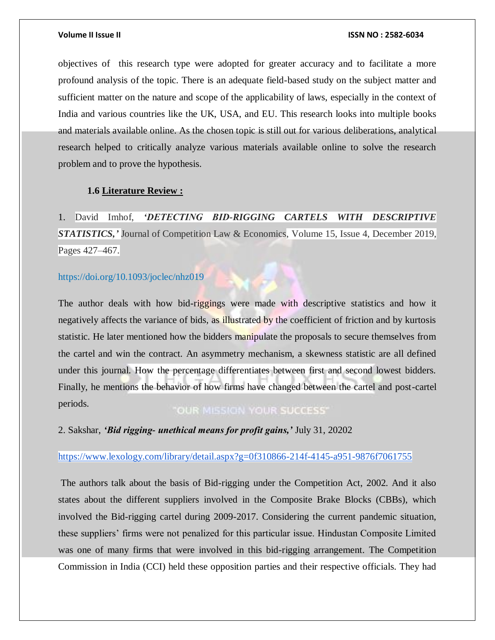objectives of this research type were adopted for greater accuracy and to facilitate a more profound analysis of the topic. There is an adequate field-based study on the subject matter and sufficient matter on the nature and scope of the applicability of laws, especially in the context of India and various countries like the UK, USA, and EU. This research looks into multiple books and materials available online. As the chosen topic is still out for various deliberations, analytical research helped to critically analyze various materials available online to solve the research problem and to prove the hypothesis.

### **1.6 Literature Review :**

1. David Imhof, *'DETECTING BID-RIGGING CARTELS WITH DESCRIPTIVE STATISTICS,'* Journal of Competition Law & Economics, Volume 15, Issue 4, December 2019, Pages 427–467.

#### <https://doi.org/10.1093/joclec/nhz019>

The author deals with how bid-riggings were made with descriptive statistics and how it negatively affects the variance of bids, as illustrated by the coefficient of friction and by kurtosis statistic. He later mentioned how the bidders manipulate the proposals to secure themselves from the cartel and win the contract. An asymmetry mechanism, a skewness statistic are all defined under this journal. How the percentage differentiates between first and second lowest bidders. Finally, he mentions the behavior of how firms have changed between the cartel and post-cartel periods.

"OUR MISSION YOUR SUCCESS"

2. Sakshar, *'Bid rigging- unethical means for profit gains,'* July 31, 20202

### <https://www.lexology.com/library/detail.aspx?g=0f310866-214f-4145-a951-9876f7061755>

The authors talk about the basis of Bid-rigging under the Competition Act, 2002. And it also states about the different suppliers involved in the Composite Brake Blocks (CBBs), which involved the Bid-rigging cartel during 2009-2017. Considering the current pandemic situation, these suppliers' firms were not penalized for this particular issue. Hindustan Composite Limited was one of many firms that were involved in this bid-rigging arrangement. The Competition Commission in India (CCI) held these opposition parties and their respective officials. They had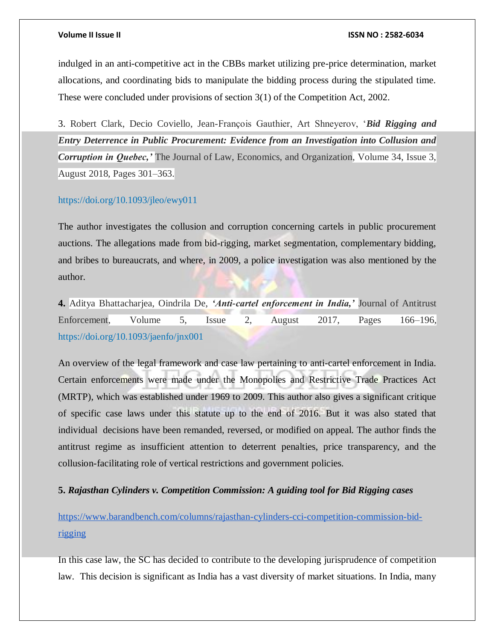indulged in an anti-competitive act in the CBBs market utilizing pre-price determination, market allocations, and coordinating bids to manipulate the bidding process during the stipulated time. These were concluded under provisions of section 3(1) of the Competition Act, 2002.

3. Robert Clark, Decio Coviello, Jean-François Gauthier, Art Shneyerov, '*Bid Rigging and Entry Deterrence in Public Procurement: Evidence from an Investigation into Collusion and Corruption in Quebec,'* The Journal of Law, Economics, and Organization, Volume 34, Issue 3, August 2018, Pages 301–363.

#### <https://doi.org/10.1093/jleo/ewy011>

The author investigates the collusion and corruption concerning cartels in public procurement auctions. The allegations made from bid-rigging, market segmentation, complementary bidding, and bribes to bureaucrats, and where, in 2009, a police investigation was also mentioned by the author.

**4.** Aditya Bhattacharjea, Oindrila De, *'Anti-cartel enforcement in India,'* Journal of Antitrust Enforcement, Volume 5, Issue 2, August 2017, Pages 166–196, <https://doi.org/10.1093/jaenfo/jnx001>

An overview of the legal framework and case law pertaining to anti-cartel enforcement in India. Certain enforcements were made under the Monopolies and Restrictive Trade Practices Act (MRTP), which was established under 1969 to 2009. This author also gives a significant critique of specific case laws under this statute up to the end of 2016. But it was also stated that individual decisions have been remanded, reversed, or modified on appeal. The author finds the antitrust regime as insufficient attention to deterrent penalties, price transparency, and the collusion-facilitating role of vertical restrictions and government policies.

#### **5.** *Rajasthan Cylinders v. Competition Commission: A guiding tool for Bid Rigging cases*

[https://www.barandbench.com/columns/rajasthan-cylinders-cci-competition-commission-bid](https://www.barandbench.com/columns/rajasthan-cylinders-cci-competition-commission-bid-rigging)[rigging](https://www.barandbench.com/columns/rajasthan-cylinders-cci-competition-commission-bid-rigging)

In this case law, the SC has decided to contribute to the developing jurisprudence of competition law. This decision is significant as India has a vast diversity of market situations. In India, many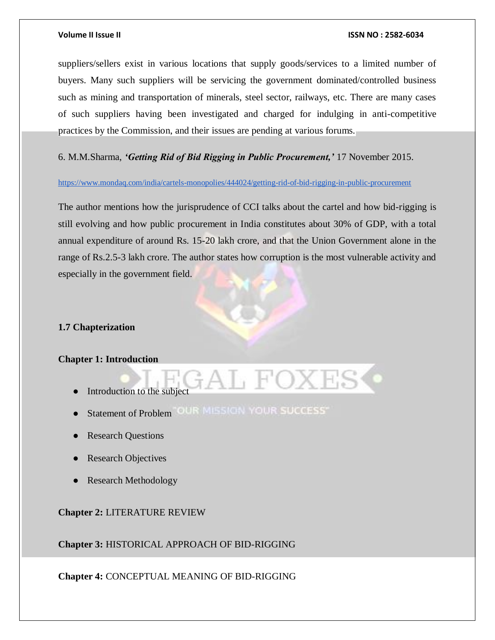suppliers/sellers exist in various locations that supply goods/services to a limited number of buyers. Many such suppliers will be servicing the government dominated/controlled business such as mining and transportation of minerals, steel sector, railways, etc. There are many cases of such suppliers having been investigated and charged for indulging in anti-competitive practices by the Commission, and their issues are pending at various forums.

6. M.M.Sharma, *'Getting Rid of Bid Rigging in Public Procurement,'* 17 November 2015.

#### <https://www.mondaq.com/india/cartels-monopolies/444024/getting-rid-of-bid-rigging-in-public-procurement>

The author mentions how the jurisprudence of CCI talks about the cartel and how bid-rigging is still evolving and how public procurement in India constitutes about 30% of GDP, with a total annual expenditure of around Rs. 15-20 lakh crore, and that the Union Government alone in the range of Rs.2.5-3 lakh crore. The author states how corruption is the most vulnerable activity and especially in the government field.

### **1.7 Chapterization**

#### **Chapter 1: Introduction**

- Introduction to the subject
- · Statement of Problem "OUR MISSION YOUR SUCCESS"
- Research Questions
- **Research Objectives**
- Research Methodology

### **Chapter 2:** LITERATURE REVIEW

**Chapter 3:** HISTORICAL APPROACH OF BID-RIGGING

**Chapter 4:** CONCEPTUAL MEANING OF BID-RIGGING